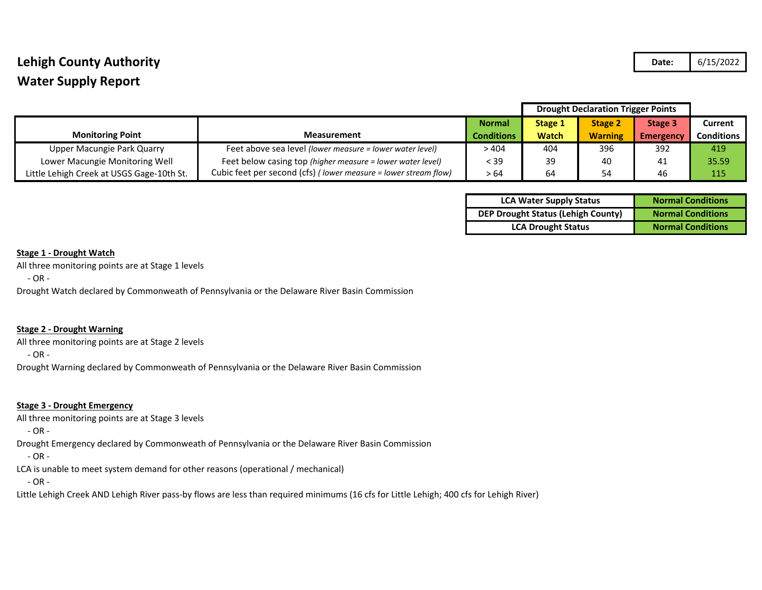## **Lehigh County Authority Date:** 6/15/2022 **Water Supply Report**

|                                           |                                                                 |                   | <b>Drought Declaration Trigger Points</b> |                |           |                   |
|-------------------------------------------|-----------------------------------------------------------------|-------------------|-------------------------------------------|----------------|-----------|-------------------|
|                                           |                                                                 | <b>Normal</b>     | <b>Stage 1</b>                            | <b>Stage 2</b> | Stage 3   | <b>Current</b>    |
| <b>Monitoring Point</b>                   | <b>Measurement</b>                                              | <b>Conditions</b> | <b>Watch</b>                              | <b>Warning</b> | Emergency | <b>Conditions</b> |
| Upper Macungie Park Quarry                | Feet above sea level (lower measure = lower water level)        | >404              | 404                                       | 396            | 392       | 419               |
| Lower Macungie Monitoring Well            | Feet below casing top (higher measure = lower water level)      | < 39              | 39                                        | 40             | 41        | 35.59             |
| Little Lehigh Creek at USGS Gage-10th St. | Cubic feet per second (cfs) (lower measure = lower stream flow) | > 64              | 64                                        | 54             | 46        | 115               |

| <b>LCA Water Supply Status</b>            | <b>Normal Conditions</b> |  |  |  |
|-------------------------------------------|--------------------------|--|--|--|
| <b>DEP Drought Status (Lehigh County)</b> | <b>Normal Conditions</b> |  |  |  |
| <b>LCA Drought Status</b>                 | <b>Normal Conditions</b> |  |  |  |

### **Stage 1 - Drought Watch**

All three monitoring points are at Stage 1 levels

- OR -

Drought Watch declared by Commonweath of Pennsylvania or the Delaware River Basin Commission

## **Stage 2 - Drought Warning**

All three monitoring points are at Stage 2 levels

- OR -

Drought Warning declared by Commonweath of Pennsylvania or the Delaware River Basin Commission

### **Stage 3 - Drought Emergency**

All three monitoring points are at Stage 3 levels

- OR -

Drought Emergency declared by Commonweath of Pennsylvania or the Delaware River Basin Commission

- OR -

LCA is unable to meet system demand for other reasons (operational / mechanical)

- OR -

Little Lehigh Creek AND Lehigh River pass-by flows are less than required minimums (16 cfs for Little Lehigh; 400 cfs for Lehigh River)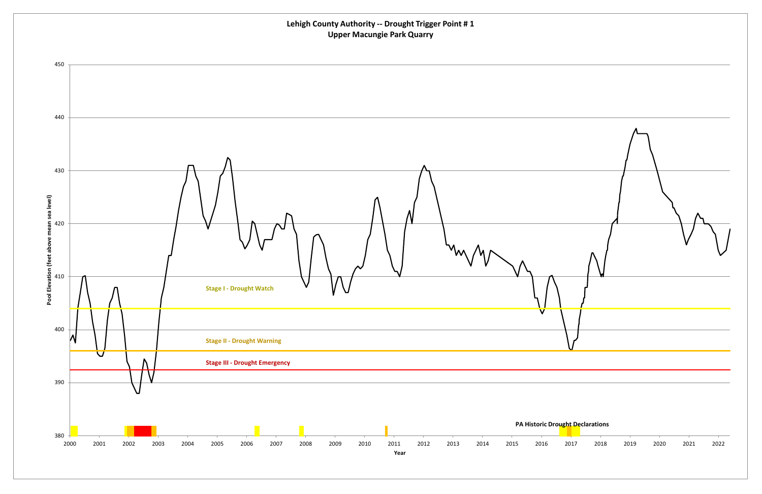

# **Lehigh County Authority ‐‐ Drought Trigger Point # 1 Upper Macungie Park Quarry**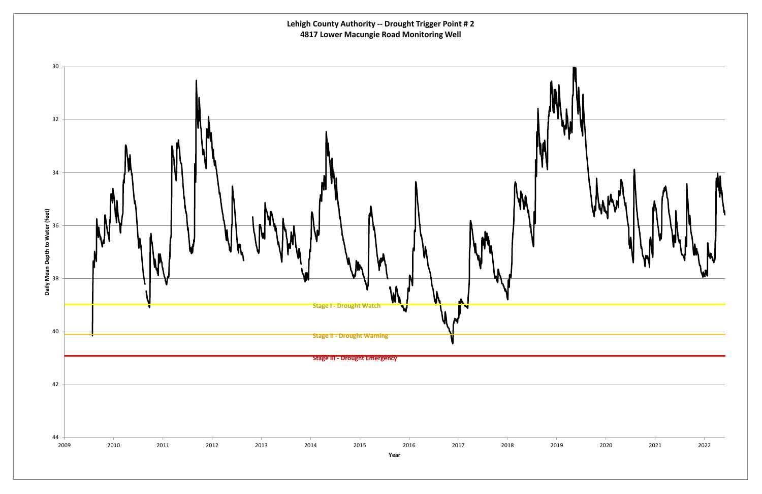

**Lehigh County Authority ‐‐ Drought Trigger Point # 2 4817 Lower Macungie Road Monitoring Well**